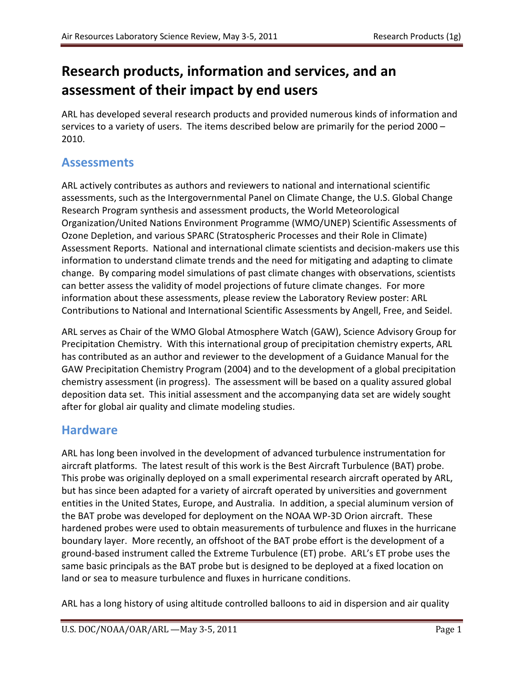# **Research products, information and services, and an assessment of their impact by end users**

ARL has developed several research products and provided numerous kinds of information and services to a variety of users. The items described below are primarily for the period 2000 – 2010.

### **Assessments**

ARL actively contributes as authors and reviewers to national and international scientific assessments, such as the Intergovernmental Panel on Climate Change, the U.S. Global Change Research Program synthesis and assessment products, the World Meteorological Organization/United Nations Environment Programme (WMO/UNEP) Scientific Assessments of Ozone Depletion, and various SPARC (Stratospheric Processes and their Role in Climate) Assessment Reports. National and international climate scientists and decision-makers use this information to understand climate trends and the need for mitigating and adapting to climate change. By comparing model simulations of past climate changes with observations, scientists can better assess the validity of model projections of future climate changes. For more information about these assessments, please review the Laboratory Review poster: ARL Contributions to National and International Scientific Assessments by Angell, Free, and Seidel.

ARL serves as Chair of the WMO Global Atmosphere Watch (GAW), Science Advisory Group for Precipitation Chemistry. With this international group of precipitation chemistry experts, ARL has contributed as an author and reviewer to the development of a Guidance Manual for the GAW Precipitation Chemistry Program (2004) and to the development of a global precipitation chemistry assessment (in progress). The assessment will be based on a quality assured global deposition data set. This initial assessment and the accompanying data set are widely sought after for global air quality and climate modeling studies.

### **Hardware**

ARL has long been involved in the development of advanced turbulence instrumentation for aircraft platforms. The latest result of this work is the Best Aircraft Turbulence (BAT) probe. This probe was originally deployed on a small experimental research aircraft operated by ARL, but has since been adapted for a variety of aircraft operated by universities and government entities in the United States, Europe, and Australia. In addition, a special aluminum version of the BAT probe was developed for deployment on the NOAA WP-3D Orion aircraft. These hardened probes were used to obtain measurements of turbulence and fluxes in the hurricane boundary layer. More recently, an offshoot of the BAT probe effort is the development of a ground-based instrument called the Extreme Turbulence (ET) probe. ARL's ET probe uses the same basic principals as the BAT probe but is designed to be deployed at a fixed location on land or sea to measure turbulence and fluxes in hurricane conditions.

ARL has a long history of using altitude controlled balloons to aid in dispersion and air quality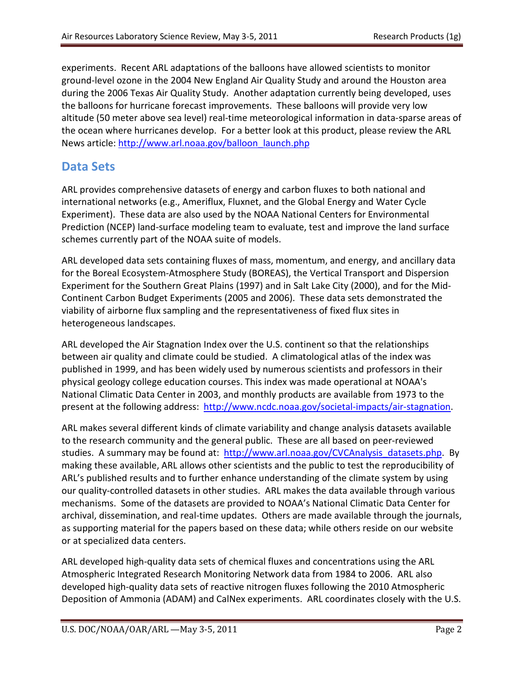experiments. Recent ARL adaptations of the balloons have allowed scientists to monitor ground-level ozone in the 2004 New England Air Quality Study and around the Houston area during the 2006 Texas Air Quality Study. Another adaptation currently being developed, uses the balloons for hurricane forecast improvements. These balloons will provide very low altitude (50 meter above sea level) real-time meteorological information in data-sparse areas of the ocean where hurricanes develop. For a better look at this product, please review the ARL News article: [http://www.arl.noaa.gov/balloon\\_launch.php](http://www.arl.noaa.gov/balloon_launch.php)

### **Data Sets**

ARL provides comprehensive datasets of energy and carbon fluxes to both national and international networks (e.g., Ameriflux, Fluxnet, and the Global Energy and Water Cycle Experiment). These data are also used by the NOAA National Centers for Environmental Prediction (NCEP) land-surface modeling team to evaluate, test and improve the land surface schemes currently part of the NOAA suite of models.

ARL developed data sets containing fluxes of mass, momentum, and energy, and ancillary data for the Boreal Ecosystem-Atmosphere Study (BOREAS), the Vertical Transport and Dispersion Experiment for the Southern Great Plains (1997) and in Salt Lake City (2000), and for the Mid-Continent Carbon Budget Experiments (2005 and 2006). These data sets demonstrated the viability of airborne flux sampling and the representativeness of fixed flux sites in heterogeneous landscapes.

ARL developed the Air Stagnation Index over the U.S. continent so that the relationships between air quality and climate could be studied. A climatological atlas of the index was published in 1999, and has been widely used by numerous scientists and professors in their physical geology college education courses. This index was made operational at NOAA's National Climatic Data Center in 2003, and monthly products are available from 1973 to the present at the following address: [http://www.ncdc.noaa.gov/societal-impacts/air-stagnation.](http://www.ncdc.noaa.gov/societal-impacts/air-stagnation)

ARL makes several different kinds of climate variability and change analysis datasets available to the research community and the general public. These are all based on peer-reviewed studies. A summary may be found at: [http://www.arl.noaa.gov/CVCAnalysis\\_datasets.php.](http://www.arl.noaa.gov/CVCAnalysis_datasets.php) By making these available, ARL allows other scientists and the public to test the reproducibility of ARL's published results and to further enhance understanding of the climate system by using our quality-controlled datasets in other studies. ARL makes the data available through various mechanisms. Some of the datasets are provided to NOAA's National Climatic Data Center for archival, dissemination, and real-time updates. Others are made available through the journals, as supporting material for the papers based on these data; while others reside on our website or at specialized data centers.

ARL developed high-quality data sets of chemical fluxes and concentrations using the ARL Atmospheric Integrated Research Monitoring Network data from 1984 to 2006. ARL also developed high-quality data sets of reactive nitrogen fluxes following the 2010 Atmospheric Deposition of Ammonia (ADAM) and CalNex experiments. ARL coordinates closely with the U.S.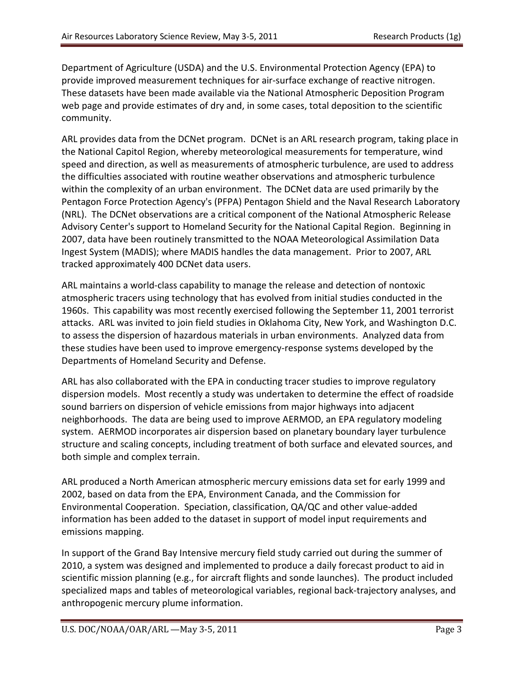Department of Agriculture (USDA) and the U.S. Environmental Protection Agency (EPA) to provide improved measurement techniques for air-surface exchange of reactive nitrogen. These datasets have been made available via the National Atmospheric Deposition Program web page and provide estimates of dry and, in some cases, total deposition to the scientific community.

ARL provides data from the DCNet program. DCNet is an ARL research program, taking place in the National Capitol Region, whereby meteorological measurements for temperature, wind speed and direction, as well as measurements of atmospheric turbulence, are used to address the difficulties associated with routine weather observations and atmospheric turbulence within the complexity of an urban environment. The DCNet data are used primarily by the Pentagon Force Protection Agency's (PFPA) Pentagon Shield and the Naval Research Laboratory (NRL). The DCNet observations are a critical component of the National Atmospheric Release Advisory Center's support to Homeland Security for the National Capital Region. Beginning in 2007, data have been routinely transmitted to the NOAA Meteorological Assimilation Data Ingest System (MADIS); where MADIS handles the data management. Prior to 2007, ARL tracked approximately 400 DCNet data users.

ARL maintains a world-class capability to manage the release and detection of nontoxic atmospheric tracers using technology that has evolved from initial studies conducted in the 1960s. This capability was most recently exercised following the September 11, 2001 terrorist attacks. ARL was invited to join field studies in Oklahoma City, New York, and Washington D.C. to assess the dispersion of hazardous materials in urban environments. Analyzed data from these studies have been used to improve emergency-response systems developed by the Departments of Homeland Security and Defense.

ARL has also collaborated with the EPA in conducting tracer studies to improve regulatory dispersion models. Most recently a study was undertaken to determine the effect of roadside sound barriers on dispersion of vehicle emissions from major highways into adjacent neighborhoods. The data are being used to improve AERMOD, an EPA regulatory modeling system. AERMOD incorporates air dispersion based on planetary boundary layer turbulence structure and scaling concepts, including treatment of both surface and elevated sources, and both simple and complex terrain.

ARL produced a North American atmospheric mercury emissions data set for early 1999 and 2002, based on data from the EPA, Environment Canada, and the Commission for Environmental Cooperation. Speciation, classification, QA/QC and other value-added information has been added to the dataset in support of model input requirements and emissions mapping.

In support of the Grand Bay Intensive mercury field study carried out during the summer of 2010, a system was designed and implemented to produce a daily forecast product to aid in scientific mission planning (e.g., for aircraft flights and sonde launches). The product included specialized maps and tables of meteorological variables, regional back-trajectory analyses, and anthropogenic mercury plume information.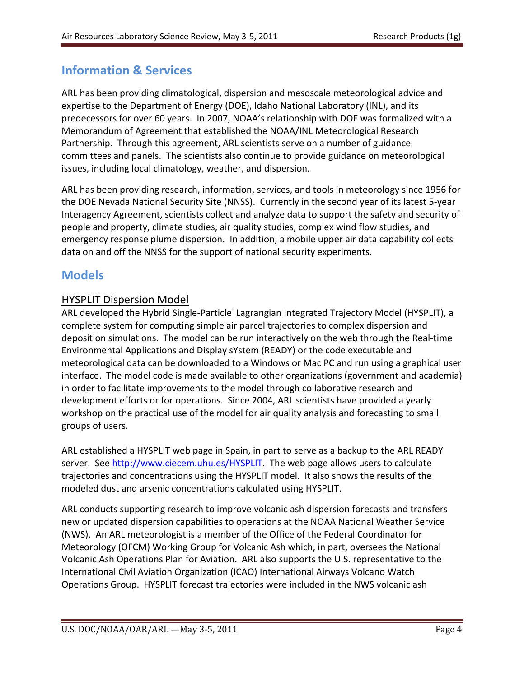## **Information & Services**

ARL has been providing climatological, dispersion and mesoscale meteorological advice and expertise to the Department of Energy (DOE), Idaho National Laboratory (INL), and its predecessors for over 60 years. In 2007, NOAA's relationship with DOE was formalized with a Memorandum of Agreement that established the NOAA/INL Meteorological Research Partnership. Through this agreement, ARL scientists serve on a number of guidance committees and panels. The scientists also continue to provide guidance on meteorological issues, including local climatology, weather, and dispersion.

ARL has been providing research, information, services, and tools in meteorology since 1956 for the DOE Nevada National Security Site (NNSS). Currently in the second year of its latest 5-year Interagency Agreement, scientists collect and analyze data to support the safety and security of people and property, climate studies, air quality studies, complex wind flow studies, and emergency response plume dispersion. In addition, a mobile upper air data capability collects data on and off the NNSS for the support of national security experiments.

### **Models**

#### HYSPLIT Dispersion Model

ARL developed the Hybr[i](#page-7-0)d Single-Particle<sup>i</sup> Lagrangian Integrated Trajectory Model (HYSPLIT), a complete system for computing simple air parcel trajectories to complex dispersion and deposition simulations. The model can be run interactively on the web through the Real-time Environmental Applications and Display sYstem (READY) or the code executable and meteorological data can be downloaded to a Windows or Mac PC and run using a graphical user interface. The model code is made available to other organizations (government and academia) in order to facilitate improvements to the model through collaborative research and development efforts or for operations. Since 2004, ARL scientists have provided a yearly workshop on the practical use of the model for air quality analysis and forecasting to small groups of users.

ARL established a HYSPLIT web page in Spain, in part to serve as a backup to the ARL READY server. See [http://www.ciecem.uhu.es/HYSPLIT.](http://www.ciecem.uhu.es/HYSPLIT) The web page allows users to calculate trajectories and concentrations using the HYSPLIT model. It also shows the results of the modeled dust and arsenic concentrations calculated using HYSPLIT.

ARL conducts supporting research to improve volcanic ash dispersion forecasts and transfers new or updated dispersion capabilities to operations at the NOAA National Weather Service (NWS). An ARL meteorologist is a member of the Office of the Federal Coordinator for Meteorology (OFCM) Working Group for Volcanic Ash which, in part, oversees the National Volcanic Ash Operations Plan for Aviation. ARL also supports the U.S. representative to the International Civil Aviation Organization (ICAO) International Airways Volcano Watch Operations Group. HYSPLIT forecast trajectories were included in the NWS volcanic ash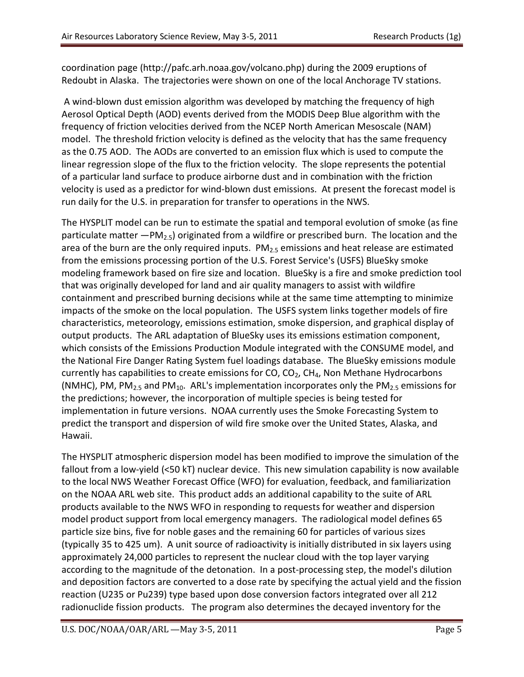coordination page (http://pafc.arh.noaa.gov/volcano.php) during the 2009 eruptions of Redoubt in Alaska. The trajectories were shown on one of the local Anchorage TV stations.

A wind-blown dust emission algorithm was developed by matching the frequency of high Aerosol Optical Depth (AOD) events derived from the MODIS Deep Blue algorithm with the frequency of friction velocities derived from the NCEP North American Mesoscale (NAM) model. The threshold friction velocity is defined as the velocity that has the same frequency as the 0.75 AOD. The AODs are converted to an emission flux which is used to compute the linear regression slope of the flux to the friction velocity. The slope represents the potential of a particular land surface to produce airborne dust and in combination with the friction velocity is used as a predictor for wind-blown dust emissions. At present the forecast model is run daily for the U.S. in preparation for transfer to operations in the NWS.

The HYSPLIT model can be run to estimate the spatial and temporal evolution of smoke (as fine particulate matter  $-PM<sub>2.5</sub>$ ) originated from a wildfire or prescribed burn. The location and the area of the burn are the only required inputs.  $PM_{2.5}$  emissions and heat release are estimated from the emissions processing portion of the U.S. Forest Service's (USFS) BlueSky smoke modeling framework based on fire size and location. BlueSky is a fire and smoke prediction tool that was originally developed for land and air quality managers to assist with wildfire containment and prescribed burning decisions while at the same time attempting to minimize impacts of the smoke on the local population. The USFS system links together models of fire characteristics, meteorology, emissions estimation, smoke dispersion, and graphical display of output products. The ARL adaptation of BlueSky uses its emissions estimation component, which consists of the Emissions Production Module integrated with the CONSUME model, and the National Fire Danger Rating System fuel loadings database. The BlueSky emissions module currently has capabilities to create emissions for  $CO$ ,  $CO<sub>2</sub>$ ,  $CH<sub>4</sub>$ , Non Methane Hydrocarbons (NMHC), PM, PM<sub>2.5</sub> and PM<sub>10</sub>. ARL's implementation incorporates only the PM<sub>2.5</sub> emissions for the predictions; however, the incorporation of multiple species is being tested for implementation in future versions. NOAA currently uses the Smoke Forecasting System to predict the transport and dispersion of wild fire smoke over the United States, Alaska, and Hawaii.

The HYSPLIT atmospheric dispersion model has been modified to improve the simulation of the fallout from a low-yield (<50 kT) nuclear device. This new simulation capability is now available to the local NWS Weather Forecast Office (WFO) for evaluation, feedback, and familiarization on the NOAA ARL web site. This product adds an additional capability to the suite of ARL products available to the NWS WFO in responding to requests for weather and dispersion model product support from local emergency managers. The radiological model defines 65 particle size bins, five for noble gases and the remaining 60 for particles of various sizes (typically 35 to 425 um). A unit source of radioactivity is initially distributed in six layers using approximately 24,000 particles to represent the nuclear cloud with the top layer varying according to the magnitude of the detonation. In a post-processing step, the model's dilution and deposition factors are converted to a dose rate by specifying the actual yield and the fission reaction (U235 or Pu239) type based upon dose conversion factors integrated over all 212 radionuclide fission products. The program also determines the decayed inventory for the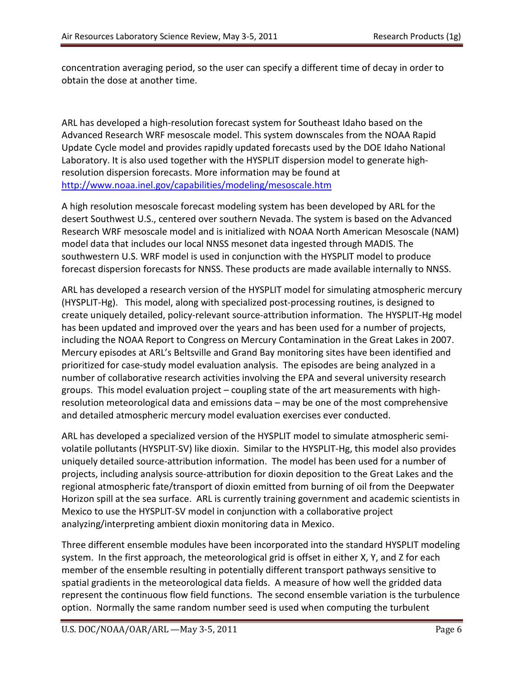concentration averaging period, so the user can specify a different time of decay in order to obtain the dose at another time.

ARL has developed a high-resolution forecast system for Southeast Idaho based on the Advanced Research WRF mesoscale model. This system downscales from the NOAA Rapid Update Cycle model and provides rapidly updated forecasts used by the DOE Idaho National Laboratory. It is also used together with the HYSPLIT dispersion model to generate highresolution dispersion forecasts. More information may be found at <http://www.noaa.inel.gov/capabilities/modeling/mesoscale.htm>

A high resolution mesoscale forecast modeling system has been developed by ARL for the desert Southwest U.S., centered over southern Nevada. The system is based on the Advanced Research WRF mesoscale model and is initialized with NOAA North American Mesoscale (NAM) model data that includes our local NNSS mesonet data ingested through MADIS. The southwestern U.S. WRF model is used in conjunction with the HYSPLIT model to produce forecast dispersion forecasts for NNSS. These products are made available internally to NNSS.

ARL has developed a research version of the HYSPLIT model for simulating atmospheric mercury (HYSPLIT-Hg). This model, along with specialized post-processing routines, is designed to create uniquely detailed, policy-relevant source-attribution information. The HYSPLIT-Hg model has been updated and improved over the years and has been used for a number of projects, including the NOAA Report to Congress on Mercury Contamination in the Great Lakes in 2007. Mercury episodes at ARL's Beltsville and Grand Bay monitoring sites have been identified and prioritized for case-study model evaluation analysis. The episodes are being analyzed in a number of collaborative research activities involving the EPA and several university research groups. This model evaluation project – coupling state of the art measurements with highresolution meteorological data and emissions data – may be one of the most comprehensive and detailed atmospheric mercury model evaluation exercises ever conducted.

ARL has developed a specialized version of the HYSPLIT model to simulate atmospheric semivolatile pollutants (HYSPLIT-SV) like dioxin. Similar to the HYSPLIT-Hg, this model also provides uniquely detailed source-attribution information. The model has been used for a number of projects, including analysis source-attribution for dioxin deposition to the Great Lakes and the regional atmospheric fate/transport of dioxin emitted from burning of oil from the Deepwater Horizon spill at the sea surface. ARL is currently training government and academic scientists in Mexico to use the HYSPLIT-SV model in conjunction with a collaborative project analyzing/interpreting ambient dioxin monitoring data in Mexico.

Three different ensemble modules have been incorporated into the standard HYSPLIT modeling system. In the first approach, the meteorological grid is offset in either X, Y, and Z for each member of the ensemble resulting in potentially different transport pathways sensitive to spatial gradients in the meteorological data fields. A measure of how well the gridded data represent the continuous flow field functions. The second ensemble variation is the turbulence option. Normally the same random number seed is used when computing the turbulent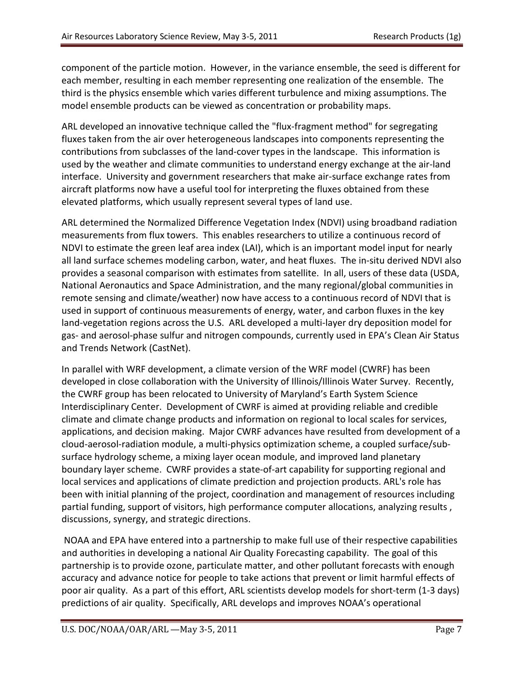component of the particle motion. However, in the variance ensemble, the seed is different for each member, resulting in each member representing one realization of the ensemble. The third is the physics ensemble which varies different turbulence and mixing assumptions. The model ensemble products can be viewed as concentration or probability maps.

ARL developed an innovative technique called the "flux-fragment method" for segregating fluxes taken from the air over heterogeneous landscapes into components representing the contributions from subclasses of the land-cover types in the landscape. This information is used by the weather and climate communities to understand energy exchange at the air-land interface. University and government researchers that make air-surface exchange rates from aircraft platforms now have a useful tool for interpreting the fluxes obtained from these elevated platforms, which usually represent several types of land use.

ARL determined the Normalized Difference Vegetation Index (NDVI) using broadband radiation measurements from flux towers. This enables researchers to utilize a continuous record of NDVI to estimate the green leaf area index (LAI), which is an important model input for nearly all land surface schemes modeling carbon, water, and heat fluxes. The in-situ derived NDVI also provides a seasonal comparison with estimates from satellite. In all, users of these data (USDA, National Aeronautics and Space Administration, and the many regional/global communities in remote sensing and climate/weather) now have access to a continuous record of NDVI that is used in support of continuous measurements of energy, water, and carbon fluxes in the key land-vegetation regions across the U.S. ARL developed a multi-layer dry deposition model for gas- and aerosol-phase sulfur and nitrogen compounds, currently used in EPA's Clean Air Status and Trends Network (CastNet).

In parallel with WRF development, a climate version of the WRF model (CWRF) has been developed in close collaboration with the University of Illinois/Illinois Water Survey. Recently, the CWRF group has been relocated to University of Maryland's Earth System Science Interdisciplinary Center. Development of CWRF is aimed at providing reliable and credible climate and climate change products and information on regional to local scales for services, applications, and decision making. Major CWRF advances have resulted from development of a cloud-aerosol-radiation module, a multi-physics optimization scheme, a coupled surface/subsurface hydrology scheme, a mixing layer ocean module, and improved land planetary boundary layer scheme. CWRF provides a state-of-art capability for supporting regional and local services and applications of climate prediction and projection products. ARL's role has been with initial planning of the project, coordination and management of resources including partial funding, support of visitors, high performance computer allocations, analyzing results , discussions, synergy, and strategic directions.

NOAA and EPA have entered into a partnership to make full use of their respective capabilities and authorities in developing a national Air Quality Forecasting capability. The goal of this partnership is to provide ozone, particulate matter, and other pollutant forecasts with enough accuracy and advance notice for people to take actions that prevent or limit harmful effects of poor air quality. As a part of this effort, ARL scientists develop models for short-term (1-3 days) predictions of air quality. Specifically, ARL develops and improves NOAA's operational